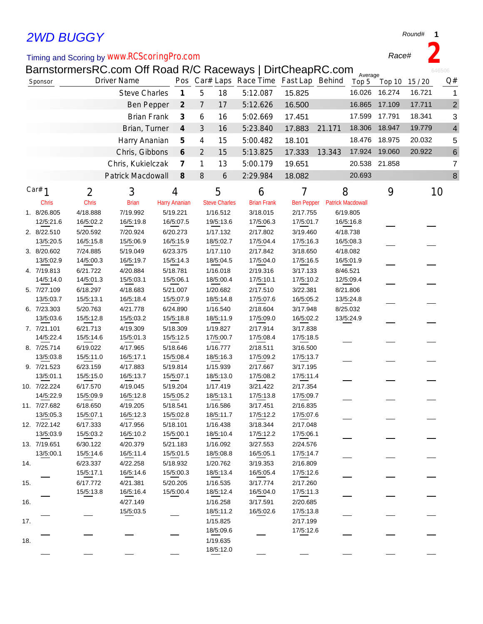## *2WD BUGGY*

## Timing and Scoring by *www.RCScoringPro.com*

BarnstormersRC.com Off Road R/C Raceways | DirtCheapRC.com

|         |                           |                       | $\frac{1}{2}$         |                             |                |                       |                                         |                       |                          | Average   |               |        |                |
|---------|---------------------------|-----------------------|-----------------------|-----------------------------|----------------|-----------------------|-----------------------------------------|-----------------------|--------------------------|-----------|---------------|--------|----------------|
| Sponsor |                           | <b>Driver Name</b>    |                       |                             |                |                       | Pos Car# Laps Race Time Fast Lap Behind |                       |                          | Top 5     | Top 10        | 15/20  | Q#             |
|         |                           |                       | <b>Steve Charles</b>  | $\boldsymbol{\mathcal{I}}$  | $\overline{5}$ | 18                    | 5:12.087                                | 15.825                |                          | 16.026    | 16.274        | 16.721 | 1              |
|         |                           |                       | <b>Ben Pepper</b>     | $\mathcal{Z}_{\mathcal{C}}$ | $\overline{7}$ | 17                    | 5:12.626                                | 16.500                |                          | 16.865    | 17.109        | 17.711 | $\overline{2}$ |
|         |                           |                       | <b>Brian Frank</b>    |                             | 6              | 16                    | 5:02.669                                | 17.451                |                          | 17.599    | 17.791        | 18.341 | 3              |
|         |                           |                       | Brian, Turner         | $\boldsymbol{4}$            | $\mathfrak{Z}$ | 16                    | 5:23.840                                | 17.883                | 21.171                   | 18.306    | 18.947        | 19.779 | 4              |
|         |                           |                       | Harry Ananian         | 5                           |                | 15                    | 5:00.482                                | 18.101                |                          | 18.476    | 18.975        | 20.032 | 5              |
|         |                           |                       |                       |                             | 4              |                       |                                         |                       |                          |           |               |        |                |
|         |                           |                       | Chris, Gibbons        | 6                           | 2              | 15                    | 5:13.825                                | 17.333                | 13.343                   |           | 17.924 19.060 | 20.922 | 6              |
|         |                           |                       | Chris, Kukielczak     | $\overline{\mathcal{L}}$    | $\mathbf{1}$   | 13                    | 5:00.179                                | 19.651                |                          |           | 20.538 21.858 |        | 7              |
|         |                           |                       | Patrick Macdowall     | $\mathcal{S}$               | 8              | 6                     | 2:29.984                                | 18.082                |                          | 20.693    |               |        | 8              |
|         | Car# $1$                  | $\overline{2}$        | 3                     |                             |                | 5                     |                                         | 7                     | 8                        |           | 9             |        |                |
|         |                           |                       |                       | 4                           |                |                       | 6<br><b>Brian Frank</b>                 |                       |                          |           |               |        | 10             |
|         | <b>Chris</b>              | Chris                 | <b>Brian</b>          | <b>Harry Ananian</b>        |                | <b>Steve Charles</b>  |                                         | <b>Ben Pepper</b>     | <b>Patrick Macdowall</b> |           |               |        |                |
|         | 1. 8/26.805               | 4/18.888              | 7/19.992              | 5/19.221                    |                | 1/16.512              | 3/18.015                                | 2/17.755              |                          | 6/19.805  |               |        |                |
|         | 12/5:21.6                 | 16/5:02.2             | 16/5:19.8             | 16/5:07.5                   |                | 19/5:13.6             | 17/5:06.3                               | 17/5:01.7             |                          | 16/5:16.8 |               |        |                |
|         | 2. 8/22.510               | 5/20.592              | 7/20.924              | 6/20.273                    |                | 1/17.132              | 2/17.802                                | 3/19.460              |                          | 4/18.738  |               |        |                |
|         | 13/5:20.5                 | 16/5:15.8             | 15/5:06.9             | 16/5:15.9                   |                | 18/5:02.7             | 17/5:04.4                               | 17/5:16.3             |                          | 16/5:08.3 |               |        |                |
|         | 3. 8/20.602               | 7/24.885              | 5/19.049              | 6/23.375                    |                | 1/17.110              | 2/17.842                                | 3/18.650              |                          | 4/18.082  |               |        |                |
|         | 13/5:02.9                 | 14/5:00.3             | 16/5:19.7             | 15/5:14.3                   |                | 18/5:04.5             | 17/5:04.0                               | 17/5:16.5             |                          | 16/5:01.9 |               |        |                |
|         | 4. 7/19.813<br>14/5:14.0  | 6/21.722              | 4/20.884              | 5/18.781                    |                | 1/16.018<br>18/5:00.4 | 2/19.316                                | 3/17.133<br>17/5:10.2 |                          | 8/46.521  |               |        |                |
|         |                           | 14/5:01.3             | 15/5:03.1             | 15/5:06.1<br>5/21.007       |                |                       | 17/5:10.1                               | 3/22.381              |                          | 12/5:09.4 |               |        |                |
|         | 5. 7/27.109               | 6/18.297              | 4/18.683              |                             |                | 1/20.682              | 2/17.510                                |                       |                          | 8/21.806  |               |        |                |
|         | 13/5:03.7                 | 15/5:13.1<br>5/20.763 | 16/5:18.4             | 15/5:07.9                   |                | 18/5:14.8             | 17/5:07.6                               | 16/5:05.2             |                          | 13/5:24.8 |               |        |                |
|         | 6. 7/23.303               |                       | 4/21.778              | 6/24.890                    |                | 1/16.540              | 2/18.604                                | 3/17.948              |                          | 8/25.032  |               |        |                |
|         | 13/5:03.6                 | 15/5:12.8             | 15/5:03.2             | 15/5:18.8                   |                | 18/5:11.9<br>1/19.827 | 17/5:09.0                               | 16/5:02.2             |                          | 13/5:24.9 |               |        |                |
|         | 7. 7/21.101               | 6/21.713              | 4/19.309              | 5/18.309                    |                |                       | 2/17.914                                | 3/17.838              |                          |           |               |        |                |
|         | 14/5:22.4                 | 15/5:14.6             | 15/5:01.3             | 15/5:12.5                   |                | 17/5:00.7             | 17/5:08.4                               | 17/5:18.5             |                          |           |               |        |                |
|         | 8. 7/25.714<br>13/5:03.8  | 6/19.022              | 4/17.965              | 5/18.646                    |                | 1/16.777<br>18/5:16.3 | 2/18.511                                | 3/16.500              |                          |           |               |        |                |
|         |                           | 15/5:11.0             | 16/5:17.1             | 15/5:08.4                   |                |                       | 17/5:09.2                               | 17/5:13.7             |                          |           |               |        |                |
|         | 9. 7/21.523               | 6/23.159              | 4/17.883              | 5/19.814                    |                | 1/15.939              | 2/17.667                                | 3/17.195              |                          |           |               |        |                |
|         | 13/5:01.1                 | 15/5:15.0             | 16/5:13.7             | 15/5:07.1                   |                | 18/5:13.0             | 17/5:08.2                               | 17/5:11.4             |                          |           |               |        |                |
|         | 10. 7/22.224              | 6/17.570              | 4/19.045              | 5/19.204                    |                | 1/17.419              | 3/21.422                                | 2/17.354              |                          |           |               |        |                |
|         | 14/5:22.9                 | 15/5:09.9             | 16/5:12.8             | 15/5:05.2                   |                | 18/5:13.1             | 17/5:13.8                               | 17/5:09.7             |                          |           |               |        |                |
|         | 11. 7/27.682<br>13/5:05.3 | 6/18.650<br>15/5:07.1 | 4/19.205<br>16/5:12.3 | 5/18.541<br>15/5:02.8       |                | 1/16.586<br>18/5:11.7 | 3/17.451<br>17/5:12.2                   | 2/16.835<br>17/5:07.6 |                          |           |               |        |                |
|         | 12. 7/22.142              | 6/17.333              | 4/17.956              | 5/18.101                    |                | 1/16.438              | 3/18.344                                | 2/17.048              |                          |           |               |        |                |
|         | 13/5:03.9                 | 15/5:03.2             | 16/5:10.2             | 15/5:00.1                   |                | 18/5:10.4             | 17/5:12.2                               | 17/5:06.1             |                          |           |               |        |                |
|         | 13. 7/19.651              | 6/30.122              | 4/20.379              | 5/21.183                    |                | 1/16.092              | 3/27.553                                | 2/24.576              |                          |           |               |        |                |
|         | 13/5:00.1                 | 15/5:14.6             | 16/5:11.4             | 15/5:01.5                   |                | 18/5:08.8             | 16/5:05.1                               | 17/5:14.7             |                          |           |               |        |                |
| 14.     |                           | 6/23.337              | 4/22.258              | 5/18.932                    |                | 1/20.762              | 3/19.353                                | 2/16.809              |                          |           |               |        |                |
|         |                           | 15/5:17.1             | 16/5:14.6             | 15/5:00.3                   |                | 18/5:13.4             | 16/5:05.4                               | 17/5:12.6             |                          |           |               |        |                |
| 15.     |                           | 6/17.772              | 4/21.381              | 5/20.205                    |                | 1/16.535              | 3/17.774                                | 2/17.260              |                          |           |               |        |                |
|         |                           | 15/5:13.8             | 16/5:16.4             | 15/5:00.4                   |                | 18/5:12.4             | 16/5:04.0                               | 17/5:11.3             |                          |           |               |        |                |
| 16.     |                           |                       | 4/27.149              |                             |                | 1/16.258              | 3/17.591                                | 2/20.685              |                          |           |               |        |                |
|         |                           |                       | 15/5:03.5             |                             |                | 18/5:11.2             | 16/5:02.6                               | 17/5:13.8             |                          |           |               |        |                |
| 17.     |                           |                       |                       |                             |                | 1/15.825              |                                         | 2/17.199              |                          |           |               |        |                |
|         |                           |                       |                       |                             |                | 18/5:09.6             |                                         | 17/5:12.6             |                          |           |               |        |                |
| 18.     |                           |                       |                       |                             |                | 1/19.635              |                                         |                       |                          |           |               |        |                |
|         |                           |                       |                       |                             |                | 18/5:12.0             |                                         |                       |                          |           |               |        |                |

*Round#* **1**

*Race#* **2**